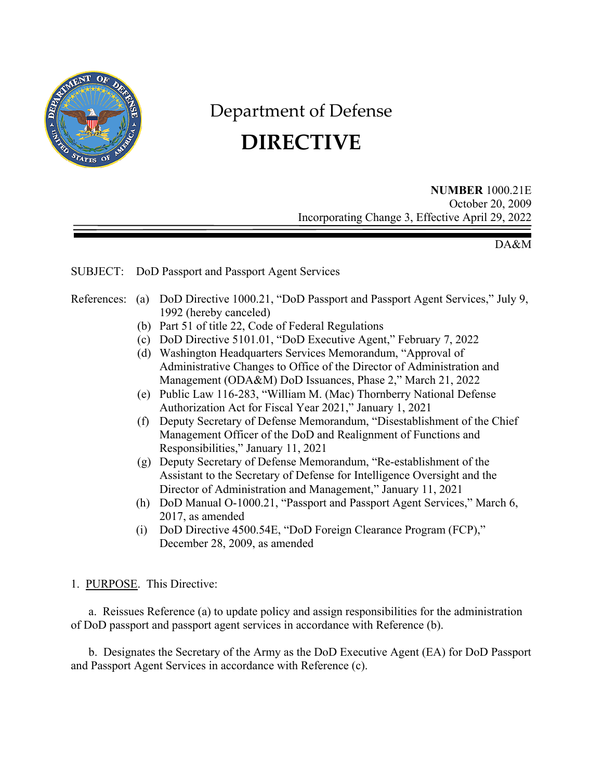

# Department of Defense **DIRECTIVE**

**NUMBER** 1000.21E October 20, 2009 Incorporating Change 3, Effective April 29, 2022

DA&M

# SUBJECT: DoD Passport and Passport Agent Services

# References: (a) DoD Directive 1000.21, "DoD Passport and Passport Agent Services," July 9, 1992 (hereby canceled)

- (b) Part 51 of title 22, Code of Federal Regulations
- (c) DoD Directive 5101.01, "DoD Executive Agent," February 7, 2022
- (d) Washington Headquarters Services Memorandum, "Approval of Administrative Changes to Office of the Director of Administration and Management (ODA&M) DoD Issuances, Phase 2," March 21, 2022
- (e) Public Law 116-283, "William M. (Mac) Thornberry National Defense Authorization Act for Fiscal Year 2021," January 1, 2021
- (f) Deputy Secretary of Defense Memorandum, "Disestablishment of the Chief Management Officer of the DoD and Realignment of Functions and Responsibilities," January 11, 2021
- (g) Deputy Secretary of Defense Memorandum, "Re-establishment of the Assistant to the Secretary of Defense for Intelligence Oversight and the Director of Administration and Management," January 11, 2021
- (h) DoD Manual O-1000.21, "Passport and Passport Agent Services," March 6, 2017, as amended
- (i) DoD Directive 4500.54E, "DoD Foreign Clearance Program (FCP)," December 28, 2009, as amended

# 1. PURPOSE. This Directive:

a. Reissues Reference (a) to update policy and assign responsibilities for the administration of DoD passport and passport agent services in accordance with Reference (b).

b. Designates the Secretary of the Army as the DoD Executive Agent (EA) for DoD Passport and Passport Agent Services in accordance with Reference (c).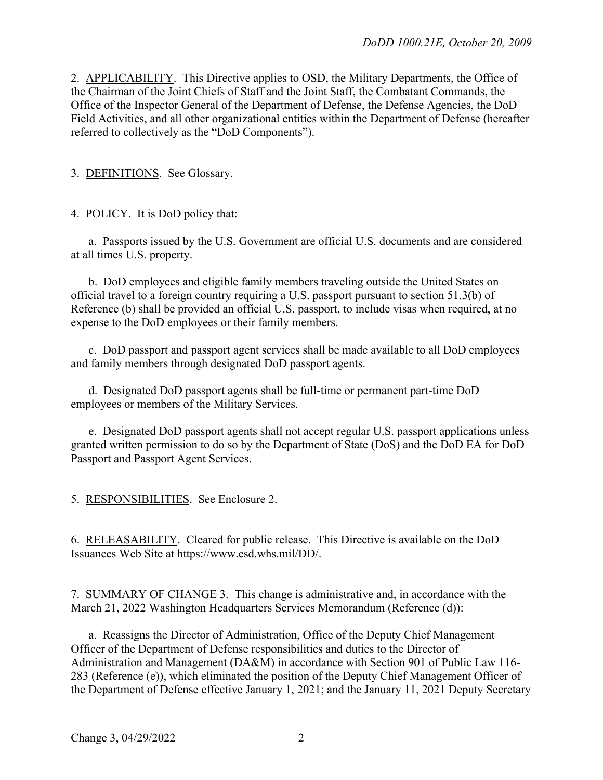2. APPLICABILITY. This Directive applies to OSD, the Military Departments, the Office of the Chairman of the Joint Chiefs of Staff and the Joint Staff, the Combatant Commands, the Office of the Inspector General of the Department of Defense, the Defense Agencies, the DoD Field Activities, and all other organizational entities within the Department of Defense (hereafter referred to collectively as the "DoD Components").

3. DEFINITIONS. See Glossary.

4. POLICY. It is DoD policy that:

a. Passports issued by the U.S. Government are official U.S. documents and are considered at all times U.S. property.

b. DoD employees and eligible family members traveling outside the United States on official travel to a foreign country requiring a U.S. passport pursuant to section 51.3(b) of Reference (b) shall be provided an official U.S. passport, to include visas when required, at no expense to the DoD employees or their family members.

c. DoD passport and passport agent services shall be made available to all DoD employees and family members through designated DoD passport agents.

d. Designated DoD passport agents shall be full-time or permanent part-time DoD employees or members of the Military Services.

 e. Designated DoD passport agents shall not accept regular U.S. passport applications unless granted written permission to do so by the Department of State (DoS) and the DoD EA for DoD Passport and Passport Agent Services.

5. RESPONSIBILITIES. See Enclosure 2.

6. RELEASABILITY. Cleared for public release. This Directive is available on the DoD Issuances Web Site at https://www.esd.whs.mil/DD/.

7. SUMMARY OF CHANGE 3. This change is administrative and, in accordance with the March 21, 2022 Washington Headquarters Services Memorandum (Reference (d)):

a. Reassigns the Director of Administration, Office of the Deputy Chief Management Officer of the Department of Defense responsibilities and duties to the Director of Administration and Management (DA&M) in accordance with Section 901 of Public Law 116- 283 (Reference (e)), which eliminated the position of the Deputy Chief Management Officer of the Department of Defense effective January 1, 2021; and the January 11, 2021 Deputy Secretary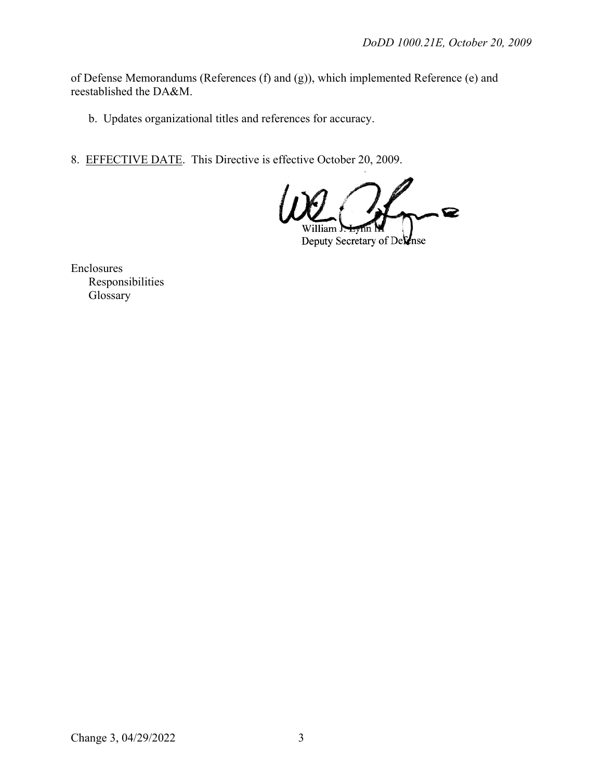of Defense Memorandums (References (f) and (g)), which implemented Reference (e) and reestablished the DA&M.

- b. Updates organizational titles and references for accuracy.
- 8. EFFECTIVE DATE. This Directive is effective October 20, 2009.

'illiam

Deputy Secretary of Delense

Enclosures Responsibilities Glossary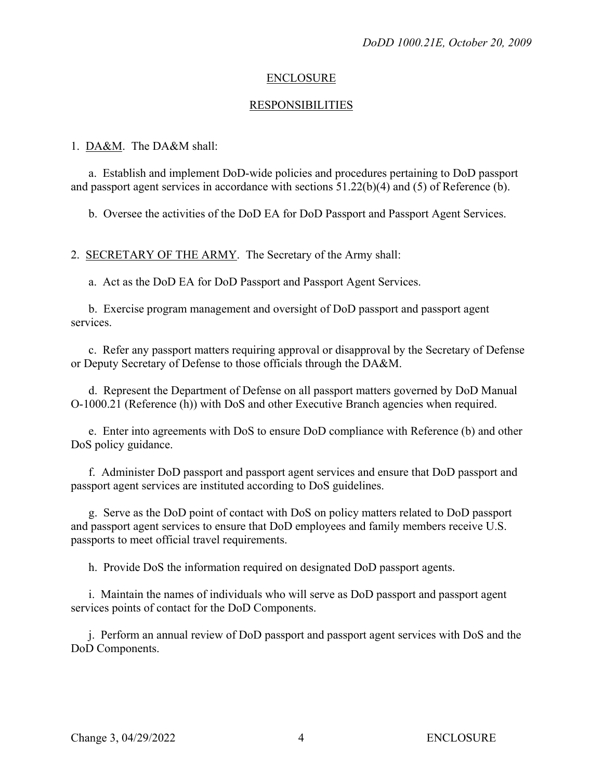#### ENCLOSURE

# RESPONSIBILITIES

1. DA&M. The DA&M shall:

a. Establish and implement DoD-wide policies and procedures pertaining to DoD passport and passport agent services in accordance with sections  $51.22(b)(4)$  and  $(5)$  of Reference (b).

b. Oversee the activities of the DoD EA for DoD Passport and Passport Agent Services.

2. SECRETARY OF THE ARMY. The Secretary of the Army shall:

a. Act as the DoD EA for DoD Passport and Passport Agent Services.

b. Exercise program management and oversight of DoD passport and passport agent services.

c. Refer any passport matters requiring approval or disapproval by the Secretary of Defense or Deputy Secretary of Defense to those officials through the DA&M.

d. Represent the Department of Defense on all passport matters governed by DoD Manual O-1000.21 (Reference (h)) with DoS and other Executive Branch agencies when required.

e. Enter into agreements with DoS to ensure DoD compliance with Reference (b) and other DoS policy guidance.

f. Administer DoD passport and passport agent services and ensure that DoD passport and passport agent services are instituted according to DoS guidelines.

g. Serve as the DoD point of contact with DoS on policy matters related to DoD passport and passport agent services to ensure that DoD employees and family members receive U.S. passports to meet official travel requirements.

h. Provide DoS the information required on designated DoD passport agents.

i. Maintain the names of individuals who will serve as DoD passport and passport agent services points of contact for the DoD Components.

j. Perform an annual review of DoD passport and passport agent services with DoS and the DoD Components.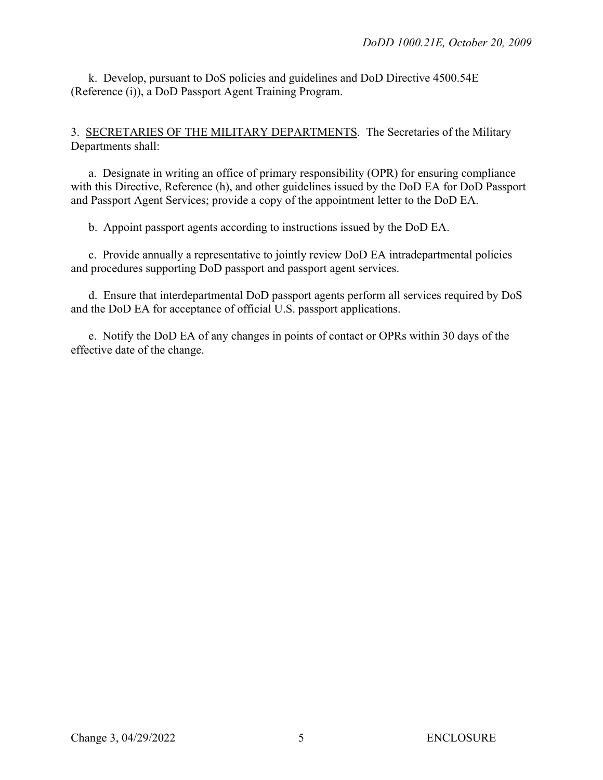k. Develop, pursuant to DoS policies and guidelines and DoD Directive 4500.54E (Reference (i)), a DoD Passport Agent Training Program.

3. SECRETARIES OF THE MILITARY DEPARTMENTS. The Secretaries of the Military Departments shall:

a. Designate in writing an office of primary responsibility (OPR) for ensuring compliance with this Directive, Reference (h), and other guidelines issued by the DoD EA for DoD Passport and Passport Agent Services; provide a copy of the appointment letter to the DoD EA.

b. Appoint passport agents according to instructions issued by the DoD EA.

c. Provide annually a representative to jointly review DoD EA intradepartmental policies and procedures supporting DoD passport and passport agent services.

d. Ensure that interdepartmental DoD passport agents perform all services required by DoS and the DoD EA for acceptance of official U.S. passport applications.

e. Notify the DoD EA of any changes in points of contact or OPRs within 30 days of the effective date of the change.